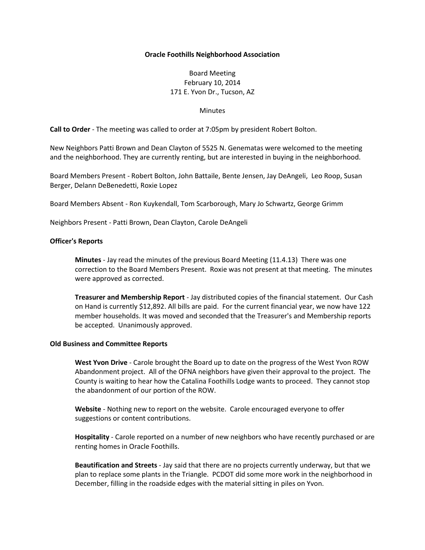## **Oracle Foothills Neighborhood Association**

# Board Meeting February 10, 2014 171 E. Yvon Dr., Tucson, AZ

#### **Minutes**

**Call to Order** - The meeting was called to order at 7:05pm by president Robert Bolton.

New Neighbors Patti Brown and Dean Clayton of 5525 N. Genematas were welcomed to the meeting and the neighborhood. They are currently renting, but are interested in buying in the neighborhood.

Board Members Present - Robert Bolton, John Battaile, Bente Jensen, Jay DeAngeli, Leo Roop, Susan Berger, Delann DeBenedetti, Roxie Lopez

Board Members Absent - Ron Kuykendall, Tom Scarborough, Mary Jo Schwartz, George Grimm

Neighbors Present - Patti Brown, Dean Clayton, Carole DeAngeli

### **Officer's Reports**

**Minutes** - Jay read the minutes of the previous Board Meeting (11.4.13) There was one correction to the Board Members Present. Roxie was not present at that meeting. The minutes were approved as corrected.

**Treasurer and Membership Report** - Jay distributed copies of the financial statement. Our Cash on Hand is currently \$12,892. All bills are paid. For the current financial year, we now have 122 member households. It was moved and seconded that the Treasurer's and Membership reports be accepted. Unanimously approved.

#### **Old Business and Committee Reports**

**West Yvon Drive** - Carole brought the Board up to date on the progress of the West Yvon ROW Abandonment project. All of the OFNA neighbors have given their approval to the project. The County is waiting to hear how the Catalina Foothills Lodge wants to proceed. They cannot stop the abandonment of our portion of the ROW.

**Website** - Nothing new to report on the website. Carole encouraged everyone to offer suggestions or content contributions.

**Hospitality** - Carole reported on a number of new neighbors who have recently purchased or are renting homes in Oracle Foothills.

**Beautification and Streets** - Jay said that there are no projects currently underway, but that we plan to replace some plants in the Triangle. PCDOT did some more work in the neighborhood in December, filling in the roadside edges with the material sitting in piles on Yvon.